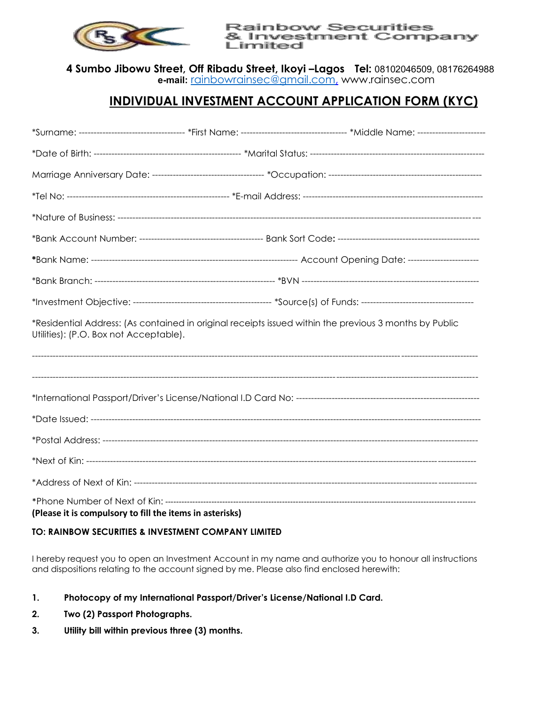

**Rainbow Securities** & Investment Company Limited

**4 Sumbo Jibowu Street, Off Ribadu Street, Ikoyi –Lagos Tel:** 08102046509, 08176264988 **e-mail:** [rainbowrainsec@gmail.com,](mailto:rainbowrainsec@gmail.com) www.rainsec.com

## **INDIVIDUAL INVESTMENT ACCOUNT APPLICATION FORM (KYC)**

|                                                                                                                                                  |  | *Surname: ----------------------------------- *First Name: --------------------------------- *Middle Name: ---------------------- |  |  |  |
|--------------------------------------------------------------------------------------------------------------------------------------------------|--|-----------------------------------------------------------------------------------------------------------------------------------|--|--|--|
|                                                                                                                                                  |  |                                                                                                                                   |  |  |  |
|                                                                                                                                                  |  |                                                                                                                                   |  |  |  |
|                                                                                                                                                  |  |                                                                                                                                   |  |  |  |
|                                                                                                                                                  |  |                                                                                                                                   |  |  |  |
|                                                                                                                                                  |  |                                                                                                                                   |  |  |  |
|                                                                                                                                                  |  |                                                                                                                                   |  |  |  |
|                                                                                                                                                  |  |                                                                                                                                   |  |  |  |
|                                                                                                                                                  |  |                                                                                                                                   |  |  |  |
| *Residential Address: (As contained in original receipts issued within the previous 3 months by Public<br>Utilities): (P.O. Box not Acceptable). |  |                                                                                                                                   |  |  |  |
|                                                                                                                                                  |  |                                                                                                                                   |  |  |  |
|                                                                                                                                                  |  |                                                                                                                                   |  |  |  |
|                                                                                                                                                  |  |                                                                                                                                   |  |  |  |
|                                                                                                                                                  |  |                                                                                                                                   |  |  |  |
|                                                                                                                                                  |  |                                                                                                                                   |  |  |  |
|                                                                                                                                                  |  |                                                                                                                                   |  |  |  |
| (Please it is compulsory to fill the items in asterisks)                                                                                         |  |                                                                                                                                   |  |  |  |

## **TO: RAINBOW SECURITIES & INVESTMENT COMPANY LIMITED**

I hereby request you to open an Investment Account in my name and authorize you to honour all instructions and dispositions relating to the account signed by me. Please also find enclosed herewith:

- **1. Photocopy of my International Passport/Driver's License/National I.D Card.**
- **2. Two (2) Passport Photographs.**
- **3. Utility bill within previous three (3) months.**